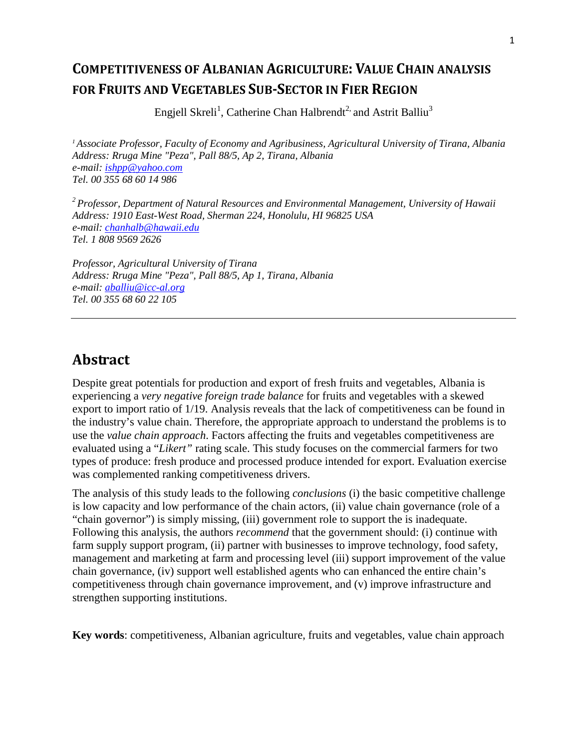# COMPETITIVENESS OF ALBANIAN AGRICULTURE: VALUE CHAIN ANALYSIS FOR FRUITS AND VEGETABLES SUB-SECTOR IN FIER REGION

Engjell Skreli<sup>1</sup>, Catherine Chan Halbrendt<sup>2,</sup> and Astrit Balliu<sup>3</sup>

*<sup>1</sup>Associate Professor, Faculty of Economy and Agribusiness, Agricultural University of Tirana, Albania Address: Rruga Mine "Peza", Pall 88/5, Ap 2, Tirana, Albania e-mail: ishpp@yahoo.com Tel. 00 355 68 60 14 986* 

*<sup>2</sup>Professor, Department of Natural Resources and Environmental Management, University of Hawaii Address: 1910 East-West Road, Sherman 224, Honolulu, HI 96825 USA e-mail: chanhalb@hawaii.edu Tel. 1 808 9569 2626* 

*Professor, Agricultural University of Tirana Address: Rruga Mine "Peza", Pall 88/5, Ap 1, Tirana, Albania e-mail: aballiu@icc-al.org Tel. 00 355 68 60 22 105* 

## Abstract

Despite great potentials for production and export of fresh fruits and vegetables, Albania is experiencing a *very negative foreign trade balance* for fruits and vegetables with a skewed export to import ratio of 1/19. Analysis reveals that the lack of competitiveness can be found in the industry's value chain. Therefore, the appropriate approach to understand the problems is to use the *value chain approach*. Factors affecting the fruits and vegetables competitiveness are evaluated using a "*Likert"* rating scale. This study focuses on the commercial farmers for two types of produce: fresh produce and processed produce intended for export. Evaluation exercise was complemented ranking competitiveness drivers.

The analysis of this study leads to the following *conclusions* (i) the basic competitive challenge is low capacity and low performance of the chain actors, (ii) value chain governance (role of a "chain governor") is simply missing, (iii) government role to support the is inadequate. Following this analysis, the authors *recommend* that the government should: (i) continue with farm supply support program, (ii) partner with businesses to improve technology, food safety, management and marketing at farm and processing level (iii) support improvement of the value chain governance, (iv) support well established agents who can enhanced the entire chain's competitiveness through chain governance improvement, and (v) improve infrastructure and strengthen supporting institutions.

**Key words**: competitiveness, Albanian agriculture, fruits and vegetables, value chain approach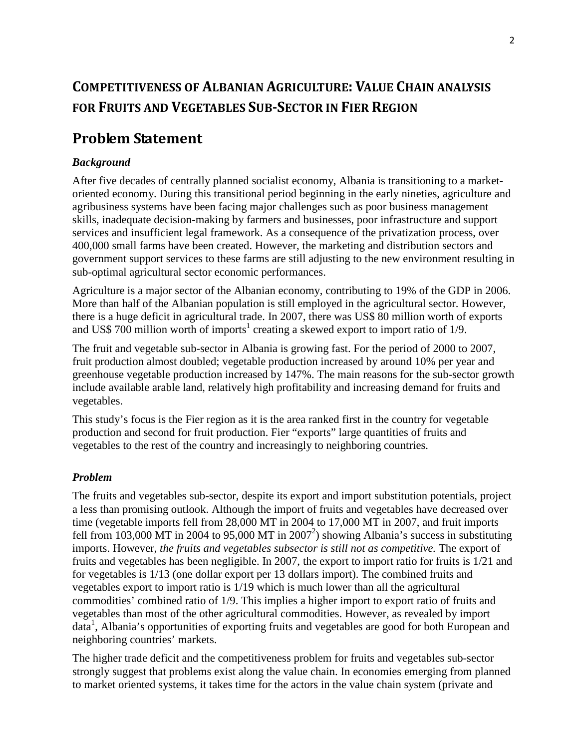# COMPETITIVENESS OF ALBANIAN AGRICULTURE: VALUE CHAIN ANALYSIS FOR FRUITS AND VEGETABLES SUB-SECTOR IN FIER REGION

## Problem Statement

#### *Background*

After five decades of centrally planned socialist economy, Albania is transitioning to a marketoriented economy. During this transitional period beginning in the early nineties, agriculture and agribusiness systems have been facing major challenges such as poor business management skills, inadequate decision-making by farmers and businesses, poor infrastructure and support services and insufficient legal framework. As a consequence of the privatization process, over 400,000 small farms have been created. However, the marketing and distribution sectors and government support services to these farms are still adjusting to the new environment resulting in sub-optimal agricultural sector economic performances.

Agriculture is a major sector of the Albanian economy, contributing to 19% of the GDP in 2006. More than half of the Albanian population is still employed in the agricultural sector. However, there is a huge deficit in agricultural trade. In 2007, there was US\$ 80 million worth of exports and US\$ 700 million worth of imports<sup>1</sup> creating a skewed export to import ratio of  $1/9$ .

The fruit and vegetable sub-sector in Albania is growing fast. For the period of 2000 to 2007, fruit production almost doubled; vegetable production increased by around 10% per year and greenhouse vegetable production increased by 147%. The main reasons for the sub-sector growth include available arable land, relatively high profitability and increasing demand for fruits and vegetables.

This study's focus is the Fier region as it is the area ranked first in the country for vegetable production and second for fruit production. Fier "exports" large quantities of fruits and vegetables to the rest of the country and increasingly to neighboring countries.

#### *Problem*

The fruits and vegetables sub-sector, despite its export and import substitution potentials, project a less than promising outlook. Although the import of fruits and vegetables have decreased over time (vegetable imports fell from 28,000 MT in 2004 to 17,000 MT in 2007, and fruit imports fell from 103,000 MT in 2004 to 95,000 MT in 2007<sup>2</sup>) showing Albania's success in substituting imports. However, *the fruits and vegetables subsector is still not as competitive.* The export of fruits and vegetables has been negligible. In 2007, the export to import ratio for fruits is 1/21 and for vegetables is 1/13 (one dollar export per 13 dollars import). The combined fruits and vegetables export to import ratio is 1/19 which is much lower than all the agricultural commodities' combined ratio of 1/9. This implies a higher import to export ratio of fruits and vegetables than most of the other agricultural commodities. However, as revealed by import data<sup>1</sup>, Albania's opportunities of exporting fruits and vegetables are good for both European and neighboring countries' markets.

The higher trade deficit and the competitiveness problem for fruits and vegetables sub-sector strongly suggest that problems exist along the value chain. In economies emerging from planned to market oriented systems, it takes time for the actors in the value chain system (private and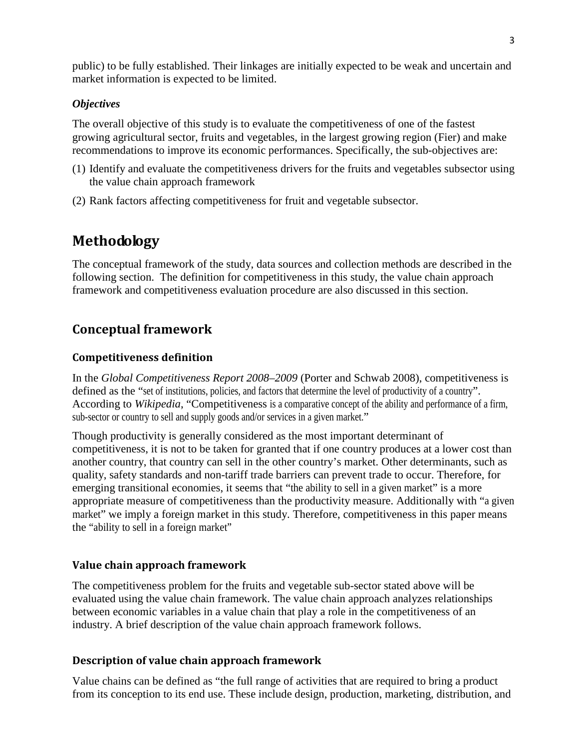public) to be fully established. Their linkages are initially expected to be weak and uncertain and market information is expected to be limited.

#### *Objectives*

The overall objective of this study is to evaluate the competitiveness of one of the fastest growing agricultural sector, fruits and vegetables, in the largest growing region (Fier) and make recommendations to improve its economic performances. Specifically, the sub-objectives are:

- (1) Identify and evaluate the competitiveness drivers for the fruits and vegetables subsector using the value chain approach framework
- (2) Rank factors affecting competitiveness for fruit and vegetable subsector.

## Methodology

The conceptual framework of the study, data sources and collection methods are described in the following section. The definition for competitiveness in this study, the value chain approach framework and competitiveness evaluation procedure are also discussed in this section.

## Conceptual framework

#### Competitiveness definition

In the *Global Competitiveness Report 2008–2009* (Porter and Schwab 2008), competitiveness is defined as the "set of institutions, policies, and factors that determine the level of productivity of a country". According to *Wikipedia*, "Competitiveness is a comparative concept of the ability and performance of a firm, sub-sector or country to sell and supply goods and/or services in a given market."

Though productivity is generally considered as the most important determinant of competitiveness, it is not to be taken for granted that if one country produces at a lower cost than another country, that country can sell in the other country's market. Other determinants, such as quality, safety standards and non-tariff trade barriers can prevent trade to occur. Therefore, for emerging transitional economies, it seems that "the ability to sell in a given market" is a more appropriate measure of competitiveness than the productivity measure. Additionally with "a given market" we imply a foreign market in this study. Therefore, competitiveness in this paper means the "ability to sell in a foreign market"

#### Value chain approach framework

The competitiveness problem for the fruits and vegetable sub-sector stated above will be evaluated using the value chain framework. The value chain approach analyzes relationships between economic variables in a value chain that play a role in the competitiveness of an industry. A brief description of the value chain approach framework follows.

#### Description of value chain approach framework

Value chains can be defined as "the full range of activities that are required to bring a product from its conception to its end use. These include design, production, marketing, distribution, and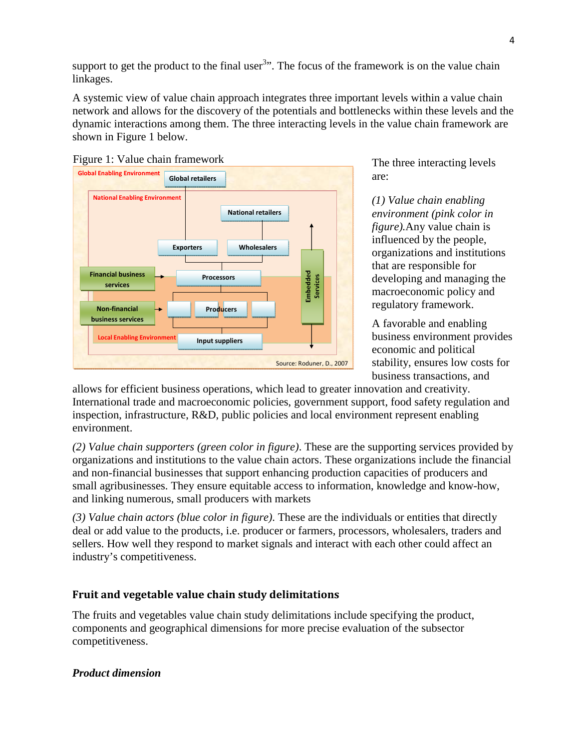support to get the product to the final user<sup>3</sup> $\cdot$ . The focus of the framework is on the value chain linkages.

A systemic view of value chain approach integrates three important levels within a value chain network and allows for the discovery of the potentials and bottlenecks within these levels and the dynamic interactions among them. The three interacting levels in the value chain framework are shown in Figure 1 below.





The three interacting levels are:

*(1) Value chain enabling environment (pink color in figure).*Any value chain is influenced by the people, organizations and institutions that are responsible for developing and managing the macroeconomic policy and regulatory framework.

A favorable and enabling business environment provides economic and political stability, ensures low costs for business transactions, and

allows for efficient business operations, which lead to greater innovation and creativity. International trade and macroeconomic policies, government support, food safety regulation and inspection, infrastructure, R&D, public policies and local environment represent enabling environment.

*(2) Value chain supporters (green color in figure)*. These are the supporting services provided by organizations and institutions to the value chain actors. These organizations include the financial and non-financial businesses that support enhancing production capacities of producers and small agribusinesses. They ensure equitable access to information, knowledge and know-how, and linking numerous, small producers with markets

*(3) Value chain actors (blue color in figure)*. These are the individuals or entities that directly deal or add value to the products, i.e. producer or farmers, processors, wholesalers, traders and sellers. How well they respond to market signals and interact with each other could affect an industry's competitiveness.

## Fruit and vegetable value chain study delimitations

The fruits and vegetables value chain study delimitations include specifying the product, components and geographical dimensions for more precise evaluation of the subsector competitiveness.

## *Product dimension*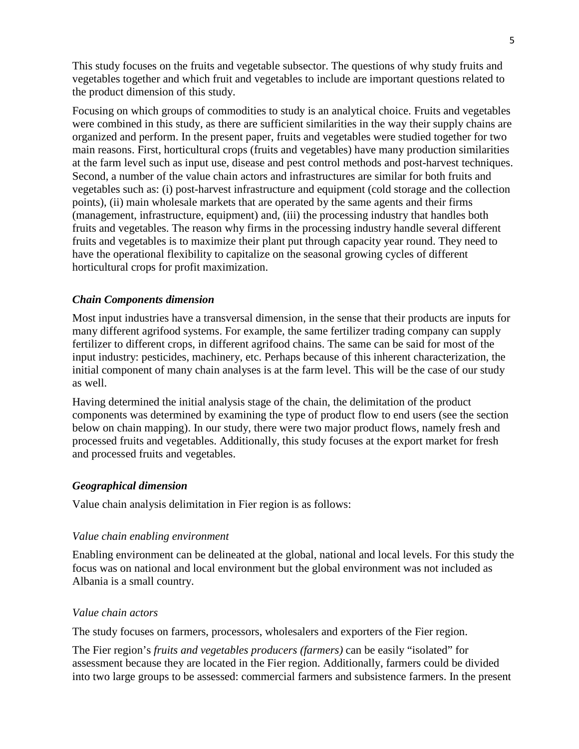This study focuses on the fruits and vegetable subsector. The questions of why study fruits and vegetables together and which fruit and vegetables to include are important questions related to the product dimension of this study.

Focusing on which groups of commodities to study is an analytical choice. Fruits and vegetables were combined in this study, as there are sufficient similarities in the way their supply chains are organized and perform. In the present paper, fruits and vegetables were studied together for two main reasons. First, horticultural crops (fruits and vegetables) have many production similarities at the farm level such as input use, disease and pest control methods and post-harvest techniques. Second, a number of the value chain actors and infrastructures are similar for both fruits and vegetables such as: (i) post-harvest infrastructure and equipment (cold storage and the collection points), (ii) main wholesale markets that are operated by the same agents and their firms (management, infrastructure, equipment) and, (iii) the processing industry that handles both fruits and vegetables. The reason why firms in the processing industry handle several different fruits and vegetables is to maximize their plant put through capacity year round. They need to have the operational flexibility to capitalize on the seasonal growing cycles of different horticultural crops for profit maximization.

#### *Chain Components dimension*

Most input industries have a transversal dimension, in the sense that their products are inputs for many different agrifood systems. For example, the same fertilizer trading company can supply fertilizer to different crops, in different agrifood chains. The same can be said for most of the input industry: pesticides, machinery, etc. Perhaps because of this inherent characterization, the initial component of many chain analyses is at the farm level. This will be the case of our study as well.

Having determined the initial analysis stage of the chain, the delimitation of the product components was determined by examining the type of product flow to end users (see the section below on chain mapping). In our study, there were two major product flows, namely fresh and processed fruits and vegetables. Additionally, this study focuses at the export market for fresh and processed fruits and vegetables.

#### *Geographical dimension*

Value chain analysis delimitation in Fier region is as follows:

#### *Value chain enabling environment*

Enabling environment can be delineated at the global, national and local levels. For this study the focus was on national and local environment but the global environment was not included as Albania is a small country.

#### *Value chain actors*

The study focuses on farmers, processors, wholesalers and exporters of the Fier region.

The Fier region's *fruits and vegetables producers (farmers)* can be easily "isolated" for assessment because they are located in the Fier region. Additionally, farmers could be divided into two large groups to be assessed: commercial farmers and subsistence farmers. In the present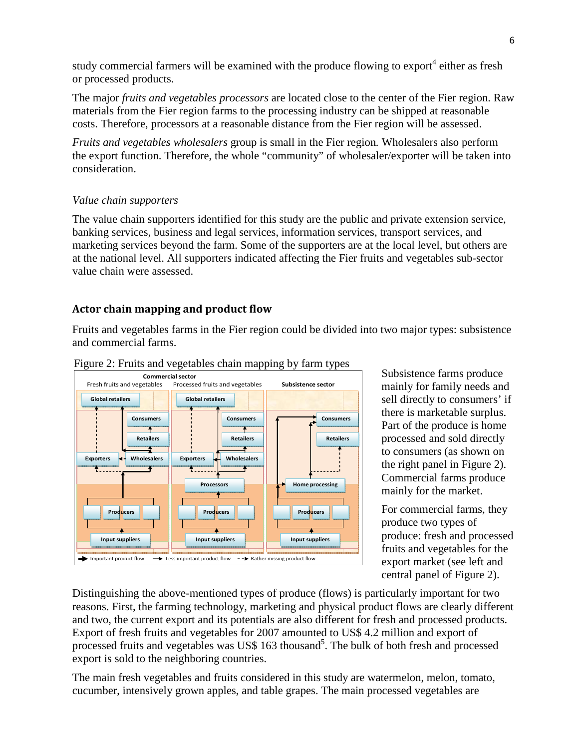study commercial farmers will be examined with the produce flowing to export<sup>4</sup> either as fresh or processed products.

The major *fruits and vegetables processors* are located close to the center of the Fier region. Raw materials from the Fier region farms to the processing industry can be shipped at reasonable costs. Therefore, processors at a reasonable distance from the Fier region will be assessed.

*Fruits and vegetables wholesalers* group is small in the Fier region*.* Wholesalers also perform the export function. Therefore, the whole "community" of wholesaler/exporter will be taken into consideration.

#### *Value chain supporters*

The value chain supporters identified for this study are the public and private extension service, banking services, business and legal services, information services, transport services, and marketing services beyond the farm. Some of the supporters are at the local level, but others are at the national level. All supporters indicated affecting the Fier fruits and vegetables sub-sector value chain were assessed.

## Actor chain mapping and product flow

Fruits and vegetables farms in the Fier region could be divided into two major types: subsistence and commercial farms.





Subsistence farms produce mainly for family needs and sell directly to consumers' if there is marketable surplus. Part of the produce is home processed and sold directly to consumers (as shown on the right panel in Figure 2). Commercial farms produce mainly for the market.

For commercial farms, they produce two types of produce: fresh and processed fruits and vegetables for the export market (see left and central panel of Figure 2).

Distinguishing the above-mentioned types of produce (flows) is particularly important for two reasons. First, the farming technology, marketing and physical product flows are clearly different and two, the current export and its potentials are also different for fresh and processed products. Export of fresh fruits and vegetables for 2007 amounted to US\$ 4.2 million and export of processed fruits and vegetables was US\$ 163 thousand<sup>5</sup>. The bulk of both fresh and processed export is sold to the neighboring countries.

The main fresh vegetables and fruits considered in this study are watermelon, melon, tomato, cucumber, intensively grown apples, and table grapes. The main processed vegetables are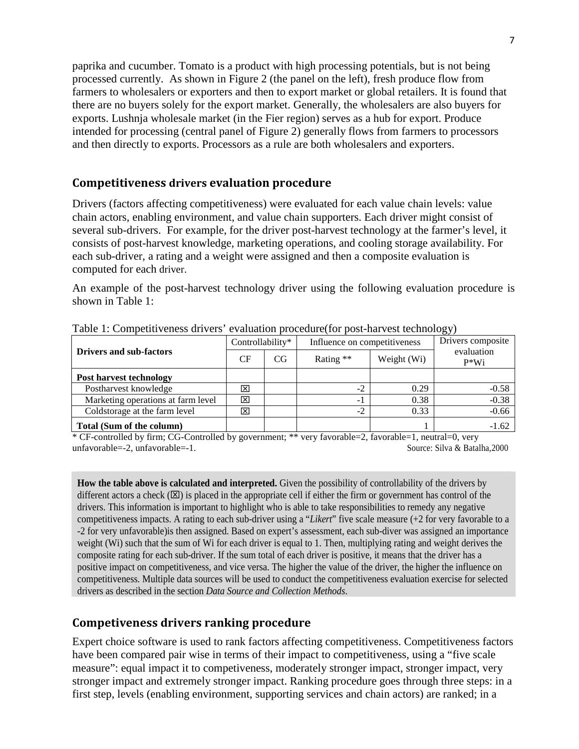paprika and cucumber. Tomato is a product with high processing potentials, but is not being processed currently. As shown in Figure 2 (the panel on the left), fresh produce flow from farmers to wholesalers or exporters and then to export market or global retailers. It is found that there are no buyers solely for the export market. Generally, the wholesalers are also buyers for exports. Lushnja wholesale market (in the Fier region) serves as a hub for export. Produce intended for processing (central panel of Figure 2) generally flows from farmers to processors and then directly to exports. Processors as a rule are both wholesalers and exporters.

### Competitiveness drivers evaluation procedure

Drivers (factors affecting competitiveness) were evaluated for each value chain levels: value chain actors, enabling environment, and value chain supporters. Each driver might consist of several sub-drivers. For example, for the driver post-harvest technology at the farmer's level, it consists of post-harvest knowledge, marketing operations, and cooling storage availability. For each sub-driver, a rating and a weight were assigned and then a composite evaluation is computed for each driver.

An example of the post-harvest technology driver using the following evaluation procedure is shown in Table 1:

|                                    |                  |    |                              |             | --                   |
|------------------------------------|------------------|----|------------------------------|-------------|----------------------|
| <b>Drivers and sub-factors</b>     | Controllability* |    | Influence on competitiveness |             | Drivers composite    |
|                                    | CF               | CG | Rating **                    | Weight (Wi) | evaluation<br>$P*Wi$ |
| <b>Post harvest technology</b>     |                  |    |                              |             |                      |
| Postharvest knowledge              | ⊠                |    | $-2$                         | 0.29        | $-0.58$              |
| Marketing operations at farm level | ×                |    | - 1                          | 0.38        | $-0.38$              |
| Coldstorage at the farm level      | ΙX               |    | $-2$                         | 0.33        | $-0.66$              |
| Total (Sum of the column)          |                  |    |                              |             | $-1.62$              |

Table 1: Competitiveness drivers' evaluation procedure(for post-harvest technology)

\* CF-controlled by firm; CG-Controlled by government; \*\* very favorable=2, favorable=1, neutral=0, very unfavorable=-2, unfavorable=-1. Source: Silva & Batalha,2000

**How the table above is calculated and interpreted.** Given the possibility of controllability of the drivers by different actors a check  $(\boxtimes)$  is placed in the appropriate cell if either the firm or government has control of the drivers. This information is important to highlight who is able to take responsibilities to remedy any negative competitiveness impacts. A rating to each sub-driver using a "*Likert*" five scale measure (+2 for very favorable to a -2 for very unfavorable)is then assigned. Based on expert's assessment, each sub-diver was assigned an importance weight (Wi) such that the sum of Wi for each driver is equal to 1. Then, multiplying rating and weight derives the composite rating for each sub-driver. If the sum total of each driver is positive, it means that the driver has a positive impact on competitiveness, and vice versa. The higher the value of the driver, the higher the influence on competitiveness. Multiple data sources will be used to conduct the competitiveness evaluation exercise for selected drivers as described in the section *Data Source and Collection Methods*.

## Competiveness drivers ranking procedure

Expert choice software is used to rank factors affecting competitiveness. Competitiveness factors have been compared pair wise in terms of their impact to competitiveness, using a "five scale measure": equal impact it to competiveness, moderately stronger impact, stronger impact, very stronger impact and extremely stronger impact. Ranking procedure goes through three steps: in a first step, levels (enabling environment, supporting services and chain actors) are ranked; in a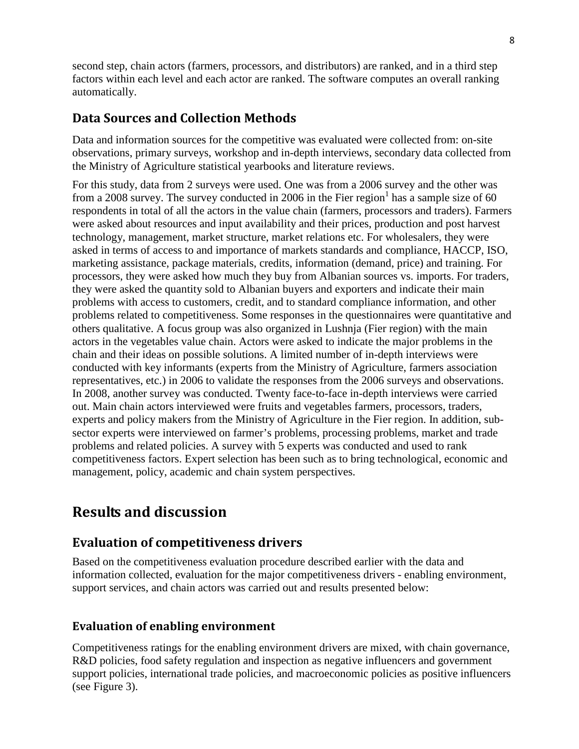second step, chain actors (farmers, processors, and distributors) are ranked, and in a third step factors within each level and each actor are ranked. The software computes an overall ranking automatically.

## Data Sources and Collection Methods

Data and information sources for the competitive was evaluated were collected from: on-site observations, primary surveys, workshop and in-depth interviews, secondary data collected from the Ministry of Agriculture statistical yearbooks and literature reviews.

For this study, data from 2 surveys were used. One was from a 2006 survey and the other was from a 2008 survey. The survey conducted in 2006 in the Fier region<sup>1</sup> has a sample size of 60 respondents in total of all the actors in the value chain (farmers, processors and traders). Farmers were asked about resources and input availability and their prices, production and post harvest technology, management, market structure, market relations etc. For wholesalers, they were asked in terms of access to and importance of markets standards and compliance, HACCP, ISO, marketing assistance, package materials, credits, information (demand, price) and training. For processors, they were asked how much they buy from Albanian sources vs. imports. For traders, they were asked the quantity sold to Albanian buyers and exporters and indicate their main problems with access to customers, credit, and to standard compliance information, and other problems related to competitiveness. Some responses in the questionnaires were quantitative and others qualitative. A focus group was also organized in Lushnja (Fier region) with the main actors in the vegetables value chain. Actors were asked to indicate the major problems in the chain and their ideas on possible solutions. A limited number of in-depth interviews were conducted with key informants (experts from the Ministry of Agriculture, farmers association representatives, etc.) in 2006 to validate the responses from the 2006 surveys and observations. In 2008, another survey was conducted. Twenty face-to-face in-depth interviews were carried out. Main chain actors interviewed were fruits and vegetables farmers, processors, traders, experts and policy makers from the Ministry of Agriculture in the Fier region. In addition, subsector experts were interviewed on farmer's problems, processing problems, market and trade problems and related policies. A survey with 5 experts was conducted and used to rank competitiveness factors. Expert selection has been such as to bring technological, economic and management, policy, academic and chain system perspectives.

# Results and discussion

## Evaluation of competitiveness drivers

Based on the competitiveness evaluation procedure described earlier with the data and information collected, evaluation for the major competitiveness drivers - enabling environment, support services, and chain actors was carried out and results presented below:

## Evaluation of enabling environment

Competitiveness ratings for the enabling environment drivers are mixed, with chain governance, R&D policies, food safety regulation and inspection as negative influencers and government support policies, international trade policies, and macroeconomic policies as positive influencers (see Figure 3).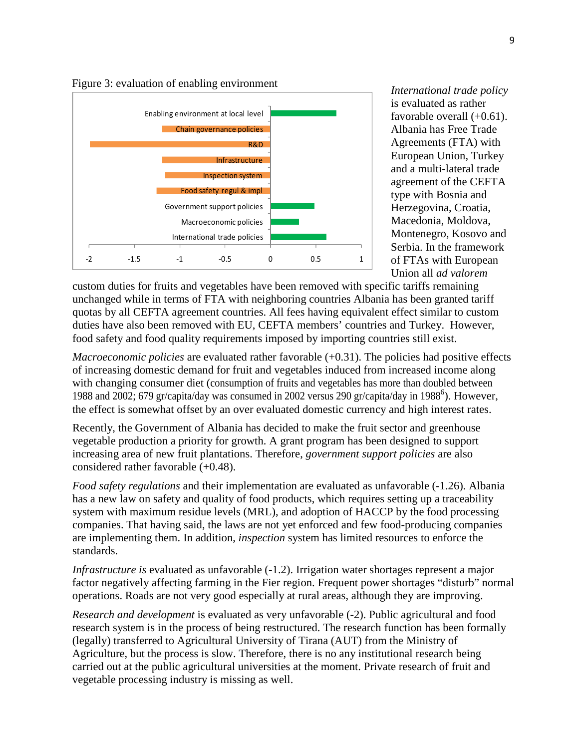

*International trade policy* is evaluated as rather favorable overall  $(+0.61)$ . Albania has Free Trade Agreements (FTA) with European Union, Turkey and a multi-lateral trade agreement of the CEFTA type with Bosnia and Herzegovina, Croatia, Macedonia, Moldova, Montenegro, Kosovo and Serbia. In the framework of FTAs with European Union all *ad valorem*

custom duties for fruits and vegetables have been removed with specific tariffs remaining unchanged while in terms of FTA with neighboring countries Albania has been granted tariff quotas by all CEFTA agreement countries. All fees having equivalent effect similar to custom duties have also been removed with EU, CEFTA members' countries and Turkey. However, food safety and food quality requirements imposed by importing countries still exist.

*Macroeconomic policies* are evaluated rather favorable (+0.31). The policies had positive effects of increasing domestic demand for fruit and vegetables induced from increased income along with changing consumer diet (consumption of fruits and vegetables has more than doubled between 1988 and 2002; 679 gr/capita/day was consumed in 2002 versus 290 gr/capita/day in 1988<sup>6</sup>). However, the effect is somewhat offset by an over evaluated domestic currency and high interest rates.

Recently, the Government of Albania has decided to make the fruit sector and greenhouse vegetable production a priority for growth. A grant program has been designed to support increasing area of new fruit plantations. Therefore, *government support policies* are also considered rather favorable (+0.48).

*Food safety regulations* and their implementation are evaluated as unfavorable (-1.26). Albania has a new law on safety and quality of food products, which requires setting up a traceability system with maximum residue levels (MRL), and adoption of HACCP by the food processing companies. That having said, the laws are not yet enforced and few food-producing companies are implementing them. In addition, *inspection* system has limited resources to enforce the standards.

*Infrastructure is* evaluated as unfavorable  $(-1.2)$ . Irrigation water shortages represent a major factor negatively affecting farming in the Fier region. Frequent power shortages "disturb" normal operations. Roads are not very good especially at rural areas, although they are improving.

*Research and development* is evaluated as very unfavorable (-2). Public agricultural and food research system is in the process of being restructured. The research function has been formally (legally) transferred to Agricultural University of Tirana (AUT) from the Ministry of Agriculture, but the process is slow. Therefore, there is no any institutional research being carried out at the public agricultural universities at the moment. Private research of fruit and vegetable processing industry is missing as well.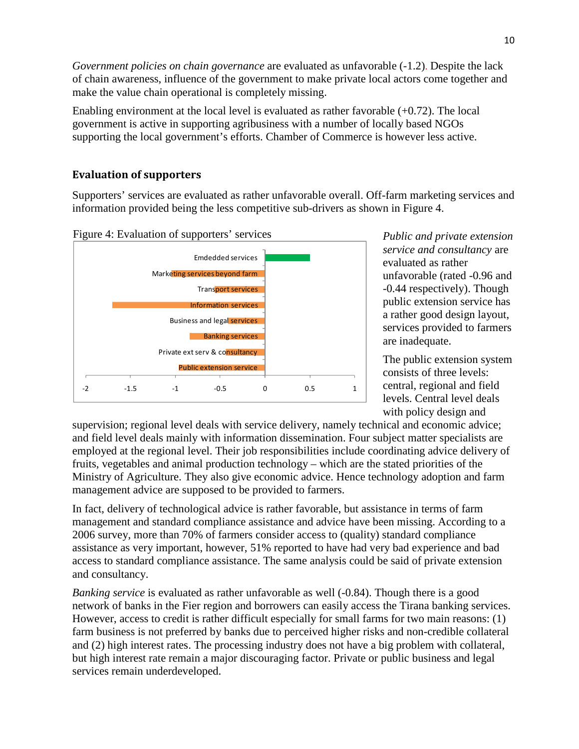*Government policies on chain governance* are evaluated as unfavorable (-1.2). Despite the lack of chain awareness, influence of the government to make private local actors come together and make the value chain operational is completely missing.

Enabling environment at the local level is evaluated as rather favorable (+0.72). The local government is active in supporting agribusiness with a number of locally based NGOs supporting the local government's efforts. Chamber of Commerce is however less active.

### Evaluation of supporters

Supporters' services are evaluated as rather unfavorable overall. Off-farm marketing services and information provided being the less competitive sub-drivers as shown in Figure 4.



*Public and private extension service and consultancy* are evaluated as rather unfavorable (rated -0.96 and -0.44 respectively). Though public extension service has a rather good design layout, services provided to farmers are inadequate.

The public extension system consists of three levels: central, regional and field levels. Central level deals with policy design and

supervision; regional level deals with service delivery, namely technical and economic advice; and field level deals mainly with information dissemination. Four subject matter specialists are employed at the regional level. Their job responsibilities include coordinating advice delivery of fruits, vegetables and animal production technology – which are the stated priorities of the Ministry of Agriculture. They also give economic advice. Hence technology adoption and farm management advice are supposed to be provided to farmers.

In fact, delivery of technological advice is rather favorable, but assistance in terms of farm management and standard compliance assistance and advice have been missing. According to a 2006 survey, more than 70% of farmers consider access to (quality) standard compliance assistance as very important, however, 51% reported to have had very bad experience and bad access to standard compliance assistance. The same analysis could be said of private extension and consultancy.

*Banking service* is evaluated as rather unfavorable as well (-0.84). Though there is a good network of banks in the Fier region and borrowers can easily access the Tirana banking services. However, access to credit is rather difficult especially for small farms for two main reasons: (1) farm business is not preferred by banks due to perceived higher risks and non-credible collateral and (2) high interest rates. The processing industry does not have a big problem with collateral, but high interest rate remain a major discouraging factor. Private or public business and legal services remain underdeveloped.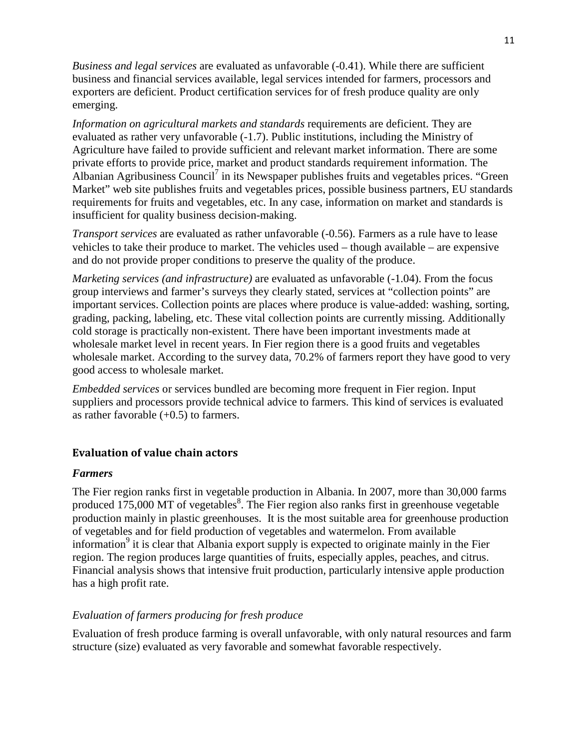*Business and legal services* are evaluated as unfavorable (-0.41). While there are sufficient business and financial services available, legal services intended for farmers, processors and exporters are deficient. Product certification services for of fresh produce quality are only emerging.

*Information on agricultural markets and standards* requirements are deficient. They are evaluated as rather very unfavorable (-1.7). Public institutions, including the Ministry of Agriculture have failed to provide sufficient and relevant market information. There are some private efforts to provide price, market and product standards requirement information. The Albanian Agribusiness Council<sup>7</sup> in its Newspaper publishes fruits and vegetables prices. "Green Market" web site publishes fruits and vegetables prices, possible business partners, EU standards requirements for fruits and vegetables, etc. In any case, information on market and standards is insufficient for quality business decision-making.

*Transport services* are evaluated as rather unfavorable (-0.56). Farmers as a rule have to lease vehicles to take their produce to market. The vehicles used – though available – are expensive and do not provide proper conditions to preserve the quality of the produce.

*Marketing services (and infrastructure)* are evaluated as unfavorable (-1.04). From the focus group interviews and farmer's surveys they clearly stated, services at "collection points" are important services. Collection points are places where produce is value-added: washing, sorting, grading, packing, labeling, etc. These vital collection points are currently missing. Additionally cold storage is practically non-existent. There have been important investments made at wholesale market level in recent years. In Fier region there is a good fruits and vegetables wholesale market. According to the survey data, 70.2% of farmers report they have good to very good access to wholesale market.

*Embedded services* or services bundled are becoming more frequent in Fier region. Input suppliers and processors provide technical advice to farmers. This kind of services is evaluated as rather favorable  $(+0.5)$  to farmers.

#### Evaluation of value chain actors

#### *Farmers*

The Fier region ranks first in vegetable production in Albania. In 2007, more than 30,000 farms produced  $175,000$  MT of vegetables<sup>8</sup>. The Fier region also ranks first in greenhouse vegetable production mainly in plastic greenhouses. It is the most suitable area for greenhouse production of vegetables and for field production of vegetables and watermelon. From available information<sup>9</sup> it is clear that Albania export supply is expected to originate mainly in the Fier region. The region produces large quantities of fruits, especially apples, peaches, and citrus. Financial analysis shows that intensive fruit production, particularly intensive apple production has a high profit rate.

#### *Evaluation of farmers producing for fresh produce*

Evaluation of fresh produce farming is overall unfavorable, with only natural resources and farm structure (size) evaluated as very favorable and somewhat favorable respectively.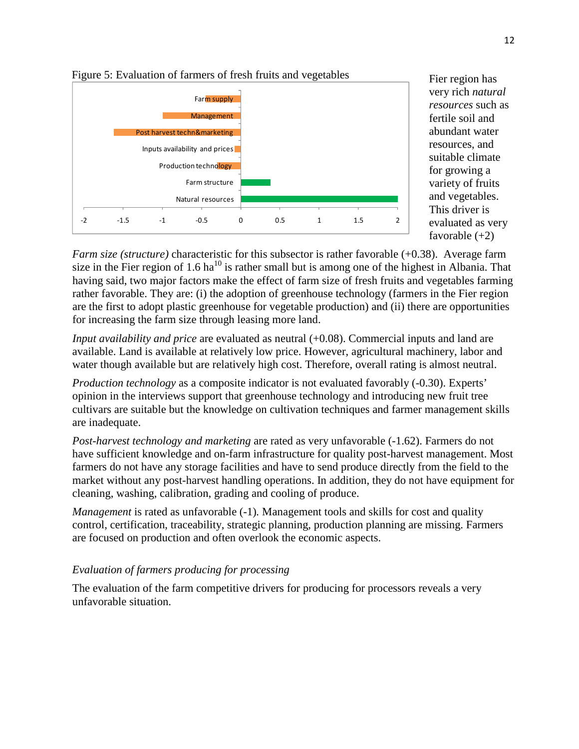

Fier region has very rich *natural resources* such as fertile soil and abundant water resources, and suitable climate for growing a variety of fruits and vegetables. This driver is evaluated as very favorable  $(+2)$ 

*Farm size (structure)* characteristic for this subsector is rather favorable (+0.38). Average farm size in the Fier region of 1.6  $ha^{10}$  is rather small but is among one of the highest in Albania. That having said, two major factors make the effect of farm size of fresh fruits and vegetables farming rather favorable. They are: (i) the adoption of greenhouse technology (farmers in the Fier region are the first to adopt plastic greenhouse for vegetable production) and (ii) there are opportunities for increasing the farm size through leasing more land.

*Input availability and price* are evaluated as neutral (+0.08). Commercial inputs and land are available. Land is available at relatively low price. However, agricultural machinery, labor and water though available but are relatively high cost. Therefore, overall rating is almost neutral.

*Production technology* as a composite indicator is not evaluated favorably (-0.30). Experts' opinion in the interviews support that greenhouse technology and introducing new fruit tree cultivars are suitable but the knowledge on cultivation techniques and farmer management skills are inadequate.

*Post-harvest technology and marketing* are rated as very unfavorable (-1.62). Farmers do not have sufficient knowledge and on-farm infrastructure for quality post-harvest management. Most farmers do not have any storage facilities and have to send produce directly from the field to the market without any post-harvest handling operations. In addition, they do not have equipment for cleaning, washing, calibration, grading and cooling of produce.

*Management* is rated as unfavorable (-1). Management tools and skills for cost and quality control, certification, traceability, strategic planning, production planning are missing. Farmers are focused on production and often overlook the economic aspects.

#### *Evaluation of farmers producing for processing*

The evaluation of the farm competitive drivers for producing for processors reveals a very unfavorable situation.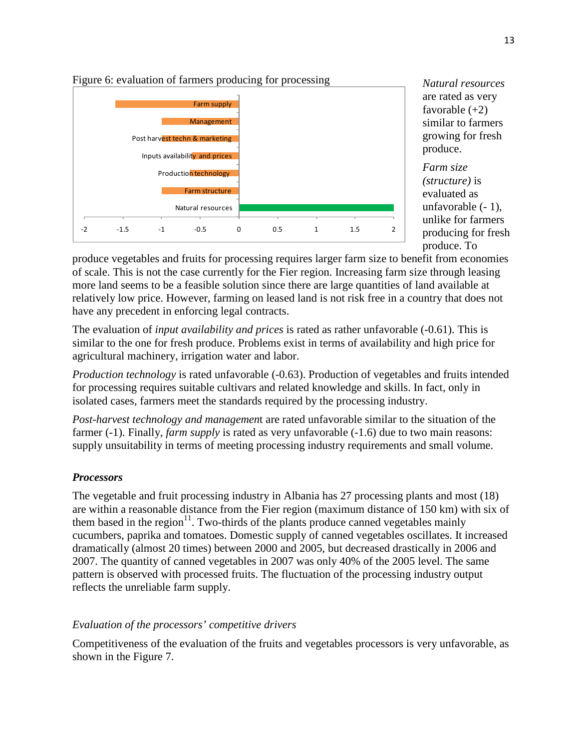

*Natural resources* are rated as very favorable  $(+2)$ similar to farmers growing for fresh produce.

*Farm size (structure)* is evaluated as unfavorable (- 1), unlike for farmers producing for fresh produce. To

produce vegetables and fruits for processing requires larger farm size to benefit from economies of scale. This is not the case currently for the Fier region. Increasing farm size through leasing more land seems to be a feasible solution since there are large quantities of land available at relatively low price. However, farming on leased land is not risk free in a country that does not have any precedent in enforcing legal contracts.

The evaluation of *input availability and prices* is rated as rather unfavorable (-0.61). This is similar to the one for fresh produce. Problems exist in terms of availability and high price for agricultural machinery, irrigation water and labor.

*Production technology* is rated unfavorable (-0.63). Production of vegetables and fruits intended for processing requires suitable cultivars and related knowledge and skills. In fact, only in isolated cases, farmers meet the standards required by the processing industry.

*Post-harvest technology and managemen*t are rated unfavorable similar to the situation of the farmer (-1). Finally, *farm supply* is rated as very unfavorable (-1.6) due to two main reasons: supply unsuitability in terms of meeting processing industry requirements and small volume.

#### *Processors*

The vegetable and fruit processing industry in Albania has 27 processing plants and most (18) are within a reasonable distance from the Fier region (maximum distance of 150 km) with six of them based in the region $11$ . Two-thirds of the plants produce canned vegetables mainly cucumbers, paprika and tomatoes. Domestic supply of canned vegetables oscillates. It increased dramatically (almost 20 times) between 2000 and 2005, but decreased drastically in 2006 and 2007. The quantity of canned vegetables in 2007 was only 40% of the 2005 level. The same pattern is observed with processed fruits. The fluctuation of the processing industry output reflects the unreliable farm supply.

#### *Evaluation of the processors' competitive drivers*

Competitiveness of the evaluation of the fruits and vegetables processors is very unfavorable, as shown in the Figure 7.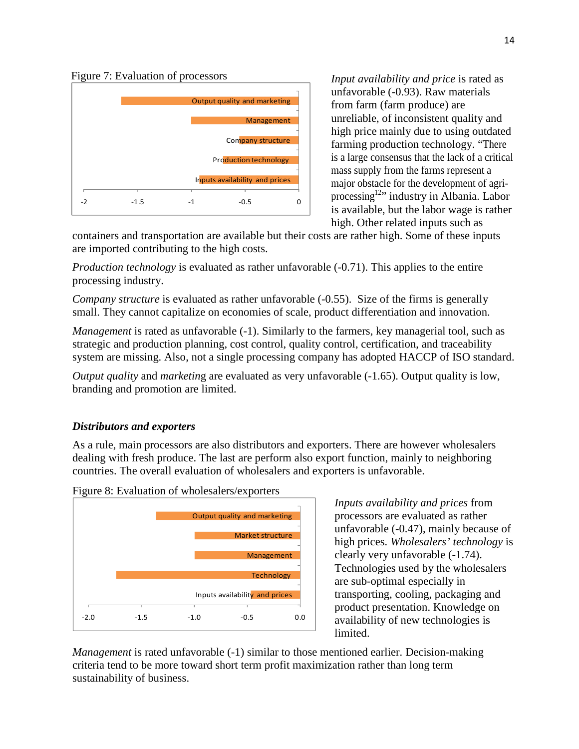Figure 7: Evaluation of processors



*Input availability and price* is rated as unfavorable (-0.93). Raw materials from farm (farm produce) are unreliable, of inconsistent quality and high price mainly due to using outdated farming production technology. "There is a large consensus that the lack of a critical mass supply from the farms represent a major obstacle for the development of agriprocessing<sup>12</sup>" industry in Albania. Labor is available, but the labor wage is rather high. Other related inputs such as

containers and transportation are available but their costs are rather high. Some of these inputs are imported contributing to the high costs.

*Production technology* is evaluated as rather unfavorable (-0.71). This applies to the entire processing industry.

*Company structure* is evaluated as rather unfavorable (-0.55). Size of the firms is generally small. They cannot capitalize on economies of scale, product differentiation and innovation.

*Management* is rated as unfavorable (-1). Similarly to the farmers, key managerial tool, such as strategic and production planning, cost control, quality control, certification, and traceability system are missing. Also, not a single processing company has adopted HACCP of ISO standard.

*Output quality* and *marketing* are evaluated as very unfavorable (-1.65). Output quality is low, branding and promotion are limited.

#### *Distributors and exporters*

As a rule, main processors are also distributors and exporters. There are however wholesalers dealing with fresh produce. The last are perform also export function, mainly to neighboring countries. The overall evaluation of wholesalers and exporters is unfavorable.



Figure 8: Evaluation of wholesalers/exporters

*Inputs availability and prices* from processors are evaluated as rather unfavorable (-0.47), mainly because of high prices. *Wholesalers' technology* is clearly very unfavorable (-1.74). Technologies used by the wholesalers are sub-optimal especially in transporting, cooling, packaging and product presentation. Knowledge on availability of new technologies is limited.

*Management* is rated unfavorable (-1) similar to those mentioned earlier. Decision-making criteria tend to be more toward short term profit maximization rather than long term sustainability of business.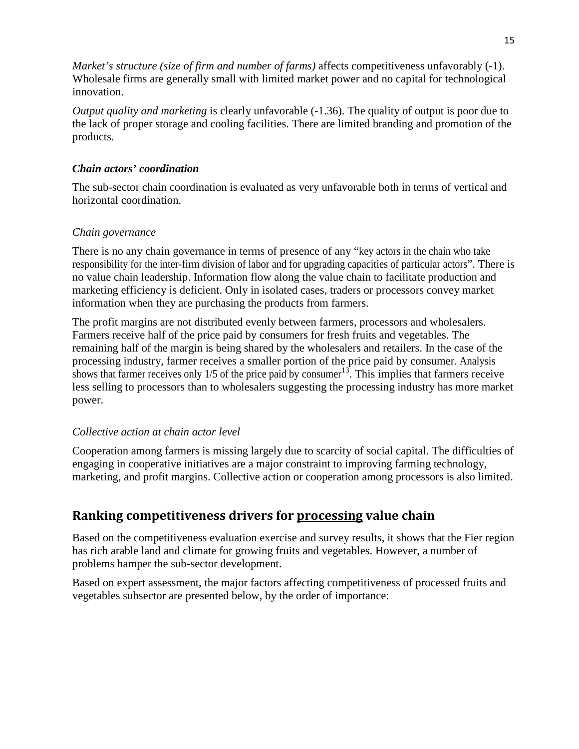*Market's structure (size of firm and number of farms)* affects competitiveness unfavorably (-1). Wholesale firms are generally small with limited market power and no capital for technological innovation.

*Output quality and marketing* is clearly unfavorable (-1.36). The quality of output is poor due to the lack of proper storage and cooling facilities. There are limited branding and promotion of the products.

#### *Chain actors' coordination*

The sub-sector chain coordination is evaluated as very unfavorable both in terms of vertical and horizontal coordination.

### *Chain governance*

There is no any chain governance in terms of presence of any "key actors in the chain who take responsibility for the inter-firm division of labor and for upgrading capacities of particular actors". There is no value chain leadership. Information flow along the value chain to facilitate production and marketing efficiency is deficient. Only in isolated cases, traders or processors convey market information when they are purchasing the products from farmers.

The profit margins are not distributed evenly between farmers, processors and wholesalers. Farmers receive half of the price paid by consumers for fresh fruits and vegetables. The remaining half of the margin is being shared by the wholesalers and retailers. In the case of the processing industry, farmer receives a smaller portion of the price paid by consumer. Analysis shows that farmer receives only  $1/5$  of the price paid by consumer<sup>13</sup>. This implies that farmers receive less selling to processors than to wholesalers suggesting the processing industry has more market power.

## *Collective action at chain actor level*

Cooperation among farmers is missing largely due to scarcity of social capital. The difficulties of engaging in cooperative initiatives are a major constraint to improving farming technology, marketing, and profit margins. Collective action or cooperation among processors is also limited.

## Ranking competitiveness drivers for processing value chain

Based on the competitiveness evaluation exercise and survey results, it shows that the Fier region has rich arable land and climate for growing fruits and vegetables. However, a number of problems hamper the sub-sector development.

Based on expert assessment, the major factors affecting competitiveness of processed fruits and vegetables subsector are presented below, by the order of importance: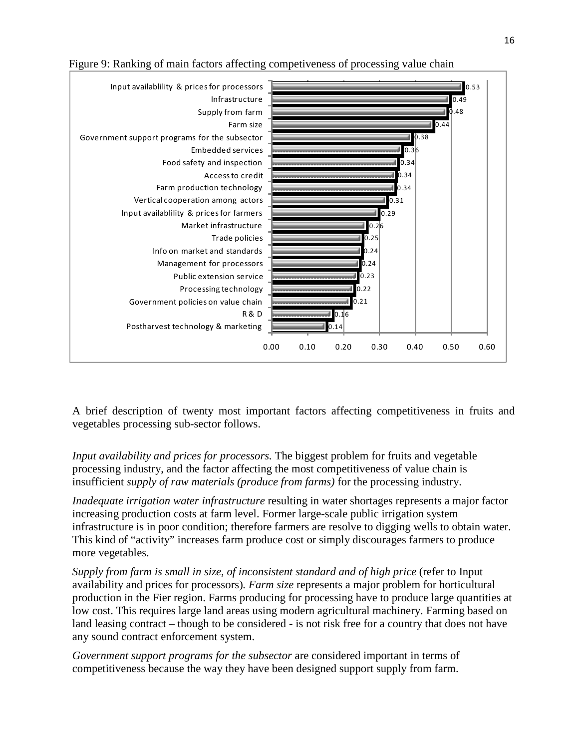

Figure 9: Ranking of main factors affecting competiveness of processing value chain

A brief description of twenty most important factors affecting competitiveness in fruits and vegetables processing sub-sector follows.

*Input availability and prices for processors.* The biggest problem for fruits and vegetable processing industry, and the factor affecting the most competitiveness of value chain is insufficient *supply of raw materials (produce from farms)* for the processing industry.

*Inadequate irrigation water infrastructure* resulting in water shortages represents a major factor increasing production costs at farm level. Former large-scale public irrigation system infrastructure is in poor condition; therefore farmers are resolve to digging wells to obtain water. This kind of "activity" increases farm produce cost or simply discourages farmers to produce more vegetables.

*Supply from farm is small in size, of inconsistent standard and of high price (refer to Input* availability and prices for processors)*. Farm size* represents a major problem for horticultural production in the Fier region. Farms producing for processing have to produce large quantities at low cost. This requires large land areas using modern agricultural machinery. Farming based on land leasing contract – though to be considered - is not risk free for a country that does not have any sound contract enforcement system.

*Government support programs for the subsector* are considered important in terms of competitiveness because the way they have been designed support supply from farm.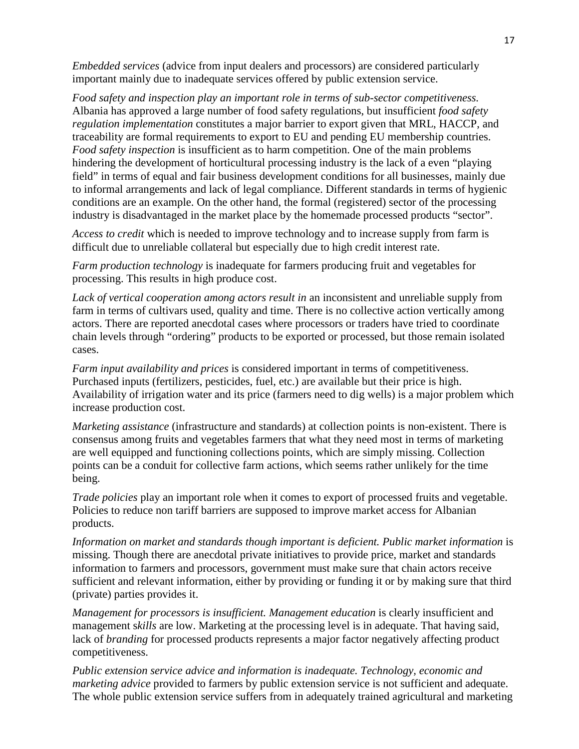*Embedded services* (advice from input dealers and processors) are considered particularly important mainly due to inadequate services offered by public extension service.

*Food safety and inspection play an important role in terms of sub-sector competitiveness.*  Albania has approved a large number of food safety regulations, but insufficient *food safety regulation implementation* constitutes a major barrier to export given that MRL, HACCP, and traceability are formal requirements to export to EU and pending EU membership countries. *Food safety inspection* is insufficient as to harm competition. One of the main problems hindering the development of horticultural processing industry is the lack of a even "playing field" in terms of equal and fair business development conditions for all businesses, mainly due to informal arrangements and lack of legal compliance. Different standards in terms of hygienic conditions are an example. On the other hand, the formal (registered) sector of the processing industry is disadvantaged in the market place by the homemade processed products "sector".

*Access to credit* which is needed to improve technology and to increase supply from farm is difficult due to unreliable collateral but especially due to high credit interest rate.

*Farm production technology* is inadequate for farmers producing fruit and vegetables for processing. This results in high produce cost.

*Lack of vertical cooperation among actors result in* an inconsistent and unreliable supply from farm in terms of cultivars used, quality and time. There is no collective action vertically among actors. There are reported anecdotal cases where processors or traders have tried to coordinate chain levels through "ordering" products to be exported or processed, but those remain isolated cases.

*Farm input availability and prices* is considered important in terms of competitiveness. Purchased inputs (fertilizers, pesticides, fuel, etc.) are available but their price is high. Availability of irrigation water and its price (farmers need to dig wells) is a major problem which increase production cost.

*Marketing assistance* (infrastructure and standards) at collection points is non-existent. There is consensus among fruits and vegetables farmers that what they need most in terms of marketing are well equipped and functioning collections points, which are simply missing. Collection points can be a conduit for collective farm actions, which seems rather unlikely for the time being.

*Trade policies* play an important role when it comes to export of processed fruits and vegetable. Policies to reduce non tariff barriers are supposed to improve market access for Albanian products.

*Information on market and standards though important is deficient. Public market information* is missing. Though there are anecdotal private initiatives to provide price, market and standards information to farmers and processors, government must make sure that chain actors receive sufficient and relevant information, either by providing or funding it or by making sure that third (private) parties provides it.

*Management for processors is insufficient. Management education* is clearly insufficient and management s*kills* are low. Marketing at the processing level is in adequate. That having said, lack of *branding* for processed products represents a major factor negatively affecting product competitiveness.

*Public extension service advice and information is inadequate. Technology, economic and marketing advice* provided to farmers by public extension service is not sufficient and adequate. The whole public extension service suffers from in adequately trained agricultural and marketing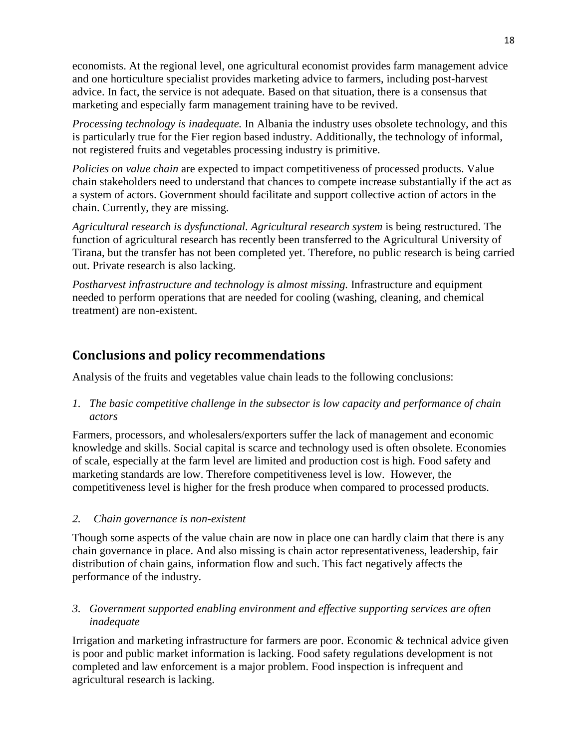economists. At the regional level, one agricultural economist provides farm management advice and one horticulture specialist provides marketing advice to farmers, including post-harvest advice. In fact, the service is not adequate. Based on that situation, there is a consensus that marketing and especially farm management training have to be revived.

*Processing technology is inadequate.* In Albania the industry uses obsolete technology, and this is particularly true for the Fier region based industry. Additionally, the technology of informal, not registered fruits and vegetables processing industry is primitive.

*Policies on value chain* are expected to impact competitiveness of processed products. Value chain stakeholders need to understand that chances to compete increase substantially if the act as a system of actors. Government should facilitate and support collective action of actors in the chain. Currently, they are missing.

*Agricultural research is dysfunctional. Agricultural research system* is being restructured. The function of agricultural research has recently been transferred to the Agricultural University of Tirana, but the transfer has not been completed yet. Therefore, no public research is being carried out. Private research is also lacking.

*Postharvest infrastructure and technology is almost missing.* Infrastructure and equipment needed to perform operations that are needed for cooling (washing, cleaning, and chemical treatment) are non-existent.

## Conclusions and policy recommendations

Analysis of the fruits and vegetables value chain leads to the following conclusions:

*1. The basic competitive challenge in the subsector is low capacity and performance of chain actors* 

Farmers, processors, and wholesalers/exporters suffer the lack of management and economic knowledge and skills. Social capital is scarce and technology used is often obsolete. Economies of scale, especially at the farm level are limited and production cost is high. Food safety and marketing standards are low. Therefore competitiveness level is low. However, the competitiveness level is higher for the fresh produce when compared to processed products.

#### *2. Chain governance is non-existent*

Though some aspects of the value chain are now in place one can hardly claim that there is any chain governance in place. And also missing is chain actor representativeness, leadership, fair distribution of chain gains, information flow and such. This fact negatively affects the performance of the industry.

#### *3. Government supported enabling environment and effective supporting services are often inadequate*

Irrigation and marketing infrastructure for farmers are poor. Economic & technical advice given is poor and public market information is lacking. Food safety regulations development is not completed and law enforcement is a major problem. Food inspection is infrequent and agricultural research is lacking.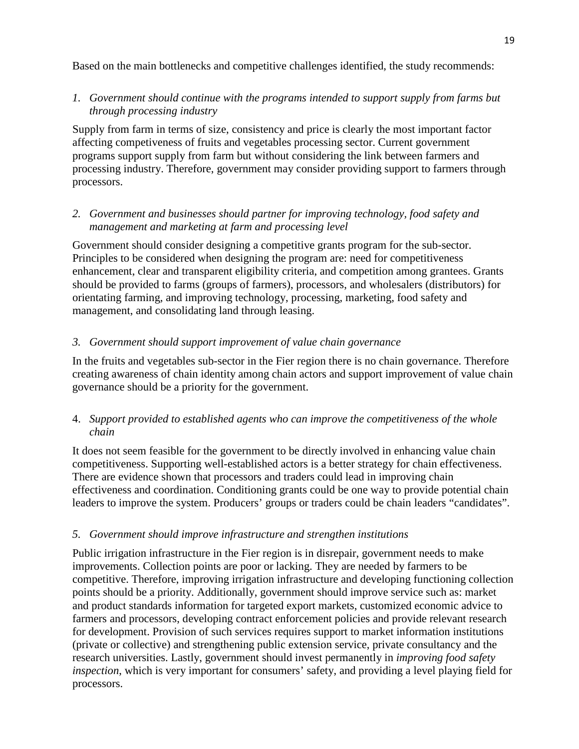Based on the main bottlenecks and competitive challenges identified, the study recommends:

### *1. Government should continue with the programs intended to support supply from farms but through processing industry*

Supply from farm in terms of size, consistency and price is clearly the most important factor affecting competiveness of fruits and vegetables processing sector. Current government programs support supply from farm but without considering the link between farmers and processing industry. Therefore, government may consider providing support to farmers through processors.

### *2. Government and businesses should partner for improving technology, food safety and management and marketing at farm and processing level*

Government should consider designing a competitive grants program for the sub-sector. Principles to be considered when designing the program are: need for competitiveness enhancement, clear and transparent eligibility criteria, and competition among grantees. Grants should be provided to farms (groups of farmers), processors, and wholesalers (distributors) for orientating farming, and improving technology, processing, marketing, food safety and management, and consolidating land through leasing.

#### *3. Government should support improvement of value chain governance*

In the fruits and vegetables sub-sector in the Fier region there is no chain governance. Therefore creating awareness of chain identity among chain actors and support improvement of value chain governance should be a priority for the government.

#### 4. *Support provided to established agents who can improve the competitiveness of the whole chain*

It does not seem feasible for the government to be directly involved in enhancing value chain competitiveness. Supporting well-established actors is a better strategy for chain effectiveness. There are evidence shown that processors and traders could lead in improving chain effectiveness and coordination. Conditioning grants could be one way to provide potential chain leaders to improve the system. Producers' groups or traders could be chain leaders "candidates".

#### *5. Government should improve infrastructure and strengthen institutions*

Public irrigation infrastructure in the Fier region is in disrepair, government needs to make improvements. Collection points are poor or lacking. They are needed by farmers to be competitive. Therefore, improving irrigation infrastructure and developing functioning collection points should be a priority. Additionally, government should improve service such as: market and product standards information for targeted export markets, customized economic advice to farmers and processors, developing contract enforcement policies and provide relevant research for development. Provision of such services requires support to market information institutions (private or collective) and strengthening public extension service, private consultancy and the research universities. Lastly, government should invest permanently in *improving food safety inspection*, which is very important for consumers' safety, and providing a level playing field for processors.